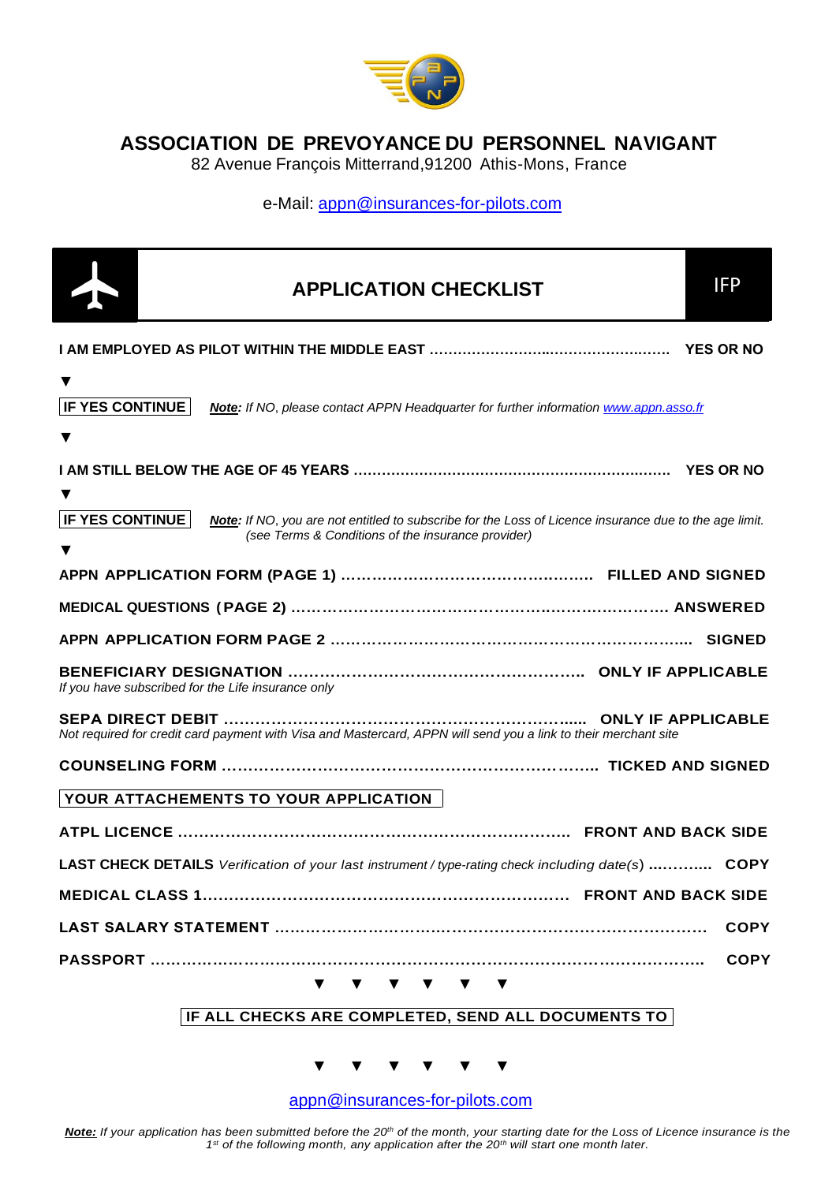

**ASSOCIATION DE PREVOYANCE DU PERSONNEL NAVIGANT**

82 Avenue François Mitterrand,91200 Athis-Mons, France

e-Mail: [appn@insurances-for-pilots.com](mailto:appn@insurances-for-pilots.com)

|                                                    | <b>APPLICATION CHECKLIST</b>                                                                                                                                 | <b>IFP</b>  |
|----------------------------------------------------|--------------------------------------------------------------------------------------------------------------------------------------------------------------|-------------|
|                                                    |                                                                                                                                                              |             |
| ▼<br><b>IF YES CONTINUE</b><br>▼                   | Note: If NO, please contact APPN Headquarter for further information www.appn.asso.fr                                                                        |             |
|                                                    |                                                                                                                                                              |             |
| <b>IF YES CONTINUE</b><br>v                        | Note: If NO, you are not entitled to subscribe for the Loss of Licence insurance due to the age limit.<br>(see Terms & Conditions of the insurance provider) |             |
|                                                    |                                                                                                                                                              |             |
|                                                    |                                                                                                                                                              |             |
|                                                    |                                                                                                                                                              |             |
| If you have subscribed for the Life insurance only |                                                                                                                                                              |             |
|                                                    | Not required for credit card payment with Visa and Mastercard, APPN will send you a link to their merchant site                                              |             |
|                                                    |                                                                                                                                                              |             |
|                                                    | YOUR ATTACHEMENTS TO YOUR APPLICATION                                                                                                                        |             |
|                                                    |                                                                                                                                                              |             |
|                                                    | LAST CHECK DETAILS Verification of your last instrument / type-rating check including date(s)  COPY                                                          |             |
|                                                    |                                                                                                                                                              |             |
|                                                    |                                                                                                                                                              | <b>COPY</b> |
|                                                    |                                                                                                                                                              | <b>COPY</b> |
|                                                    | <b>V V V V V V</b><br>IF ALL CHECKS ARE COMPLETED, SEND ALL DOCUMENTS TO                                                                                     |             |

**▼ ▼ ▼ ▼ ▼ ▼**

[appn@insurances-for-pilots.com](mailto:appn@insurances-for-pilots.com)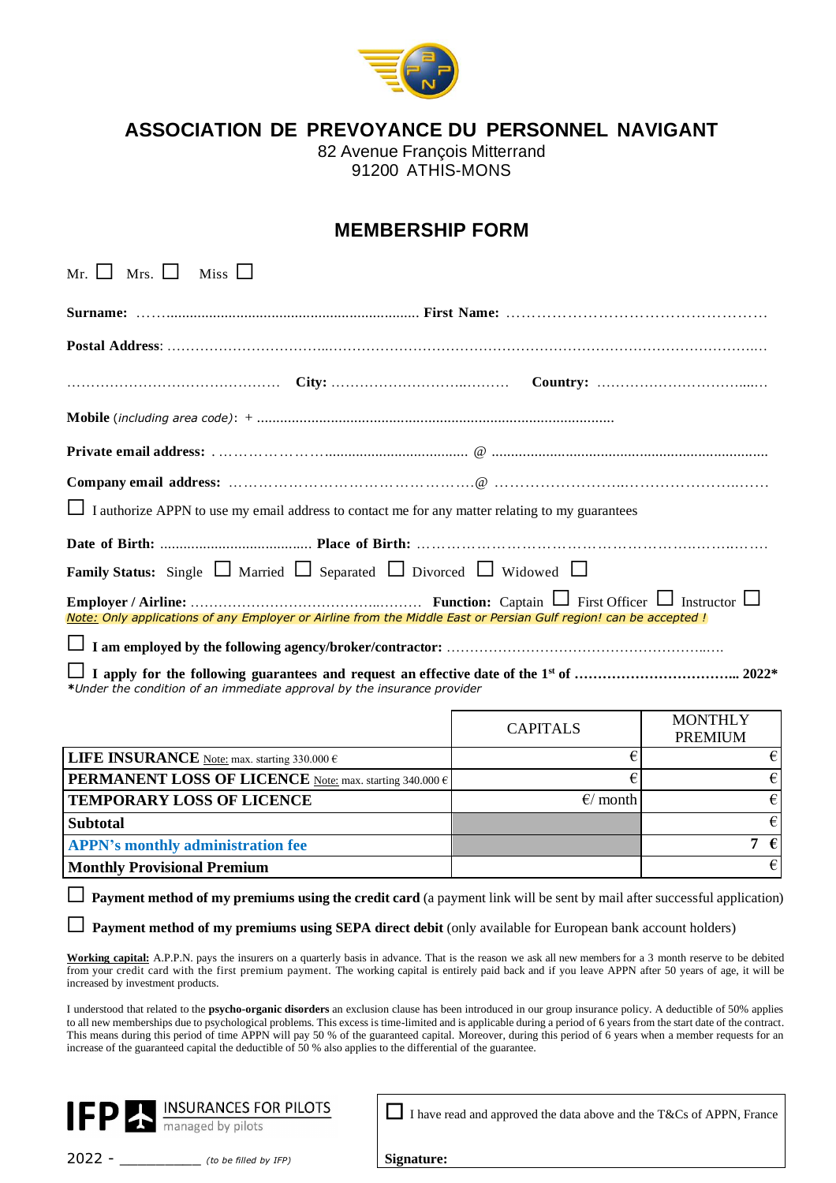

**ASSOCIATION DE PREVOYANCE DU PERSONNEL NAVIGANT**

82 Avenue François Mitterrand 91200 ATHIS-MONS

# **MEMBERSHIP FORM**

| $Mr. \Box$ Mrs. $\Box$ Miss $\Box$                                                                                                                                                                                                                                                                                                                                                                                                                                                                                                                                                                                      |                    |                                  |
|-------------------------------------------------------------------------------------------------------------------------------------------------------------------------------------------------------------------------------------------------------------------------------------------------------------------------------------------------------------------------------------------------------------------------------------------------------------------------------------------------------------------------------------------------------------------------------------------------------------------------|--------------------|----------------------------------|
|                                                                                                                                                                                                                                                                                                                                                                                                                                                                                                                                                                                                                         |                    |                                  |
|                                                                                                                                                                                                                                                                                                                                                                                                                                                                                                                                                                                                                         |                    |                                  |
|                                                                                                                                                                                                                                                                                                                                                                                                                                                                                                                                                                                                                         |                    |                                  |
|                                                                                                                                                                                                                                                                                                                                                                                                                                                                                                                                                                                                                         |                    |                                  |
|                                                                                                                                                                                                                                                                                                                                                                                                                                                                                                                                                                                                                         |                    |                                  |
|                                                                                                                                                                                                                                                                                                                                                                                                                                                                                                                                                                                                                         |                    |                                  |
| I authorize APPN to use my email address to contact me for any matter relating to my guarantees                                                                                                                                                                                                                                                                                                                                                                                                                                                                                                                         |                    |                                  |
|                                                                                                                                                                                                                                                                                                                                                                                                                                                                                                                                                                                                                         |                    |                                  |
| <b>Family Status:</b> Single $\Box$ Married $\Box$ Separated $\Box$ Divorced $\Box$ Widowed $\Box$                                                                                                                                                                                                                                                                                                                                                                                                                                                                                                                      |                    |                                  |
|                                                                                                                                                                                                                                                                                                                                                                                                                                                                                                                                                                                                                         |                    |                                  |
| Note: Only applications of any Employer or Airline from the Middle East or Persian Gulf region! can be accepted!                                                                                                                                                                                                                                                                                                                                                                                                                                                                                                        |                    |                                  |
|                                                                                                                                                                                                                                                                                                                                                                                                                                                                                                                                                                                                                         |                    |                                  |
|                                                                                                                                                                                                                                                                                                                                                                                                                                                                                                                                                                                                                         |                    |                                  |
| *Under the condition of an immediate approval by the insurance provider                                                                                                                                                                                                                                                                                                                                                                                                                                                                                                                                                 |                    |                                  |
|                                                                                                                                                                                                                                                                                                                                                                                                                                                                                                                                                                                                                         | <b>CAPITALS</b>    | <b>MONTHLY</b><br><b>PREMIUM</b> |
| LIFE INSURANCE Note: max. starting 330.000 $\in$                                                                                                                                                                                                                                                                                                                                                                                                                                                                                                                                                                        | €                  | $\boldsymbol{\epsilon}$          |
| <b>PERMANENT LOSS OF LICENCE</b> Note: max. starting 340.000 $\epsilon$                                                                                                                                                                                                                                                                                                                                                                                                                                                                                                                                                 | €                  | $\boldsymbol{\epsilon}$          |
| <b>TEMPORARY LOSS OF LICENCE</b>                                                                                                                                                                                                                                                                                                                                                                                                                                                                                                                                                                                        | $\epsilon$ / month | $\boldsymbol{\epsilon}$          |
| <b>Subtotal</b>                                                                                                                                                                                                                                                                                                                                                                                                                                                                                                                                                                                                         |                    | $\epsilon$                       |
| <b>APPN's monthly administration fee</b>                                                                                                                                                                                                                                                                                                                                                                                                                                                                                                                                                                                |                    | 7 $\epsilon$                     |
| <b>Monthly Provisional Premium</b>                                                                                                                                                                                                                                                                                                                                                                                                                                                                                                                                                                                      |                    | $\epsilon$                       |
| Payment method of my premiums using the credit card (a payment link will be sent by mail after successful application)                                                                                                                                                                                                                                                                                                                                                                                                                                                                                                  |                    |                                  |
| Payment method of my premiums using SEPA direct debit (only available for European bank account holders)                                                                                                                                                                                                                                                                                                                                                                                                                                                                                                                |                    |                                  |
| <b>Working capital:</b> A.P.P.N. pays the insurers on a quarterly basis in advance. That is the reason we ask all new members for a 3 month reserve to be debited<br>from your credit card with the first premium payment. The working capital is entirely paid back and if you leave APPN after 50 years of age, it will be<br>increased by investment products.                                                                                                                                                                                                                                                       |                    |                                  |
| I understood that related to the <b>psycho-organic disorders</b> an exclusion clause has been introduced in our group insurance policy. A deductible of 50% applies<br>to all new memberships due to psychological problems. This excess is time-limited and is applicable during a period of 6 years from the start date of the contract.<br>This means during this period of time APPN will pay 50 % of the guaranteed capital. Moreover, during this period of 6 years when a member requests for an<br>increase of the guaranteed capital the deductible of 50 % also applies to the differential of the guarantee. |                    |                                  |

**Signature:**

2022 - \_\_\_\_\_\_\_\_\_ *(to be filled by IFP)*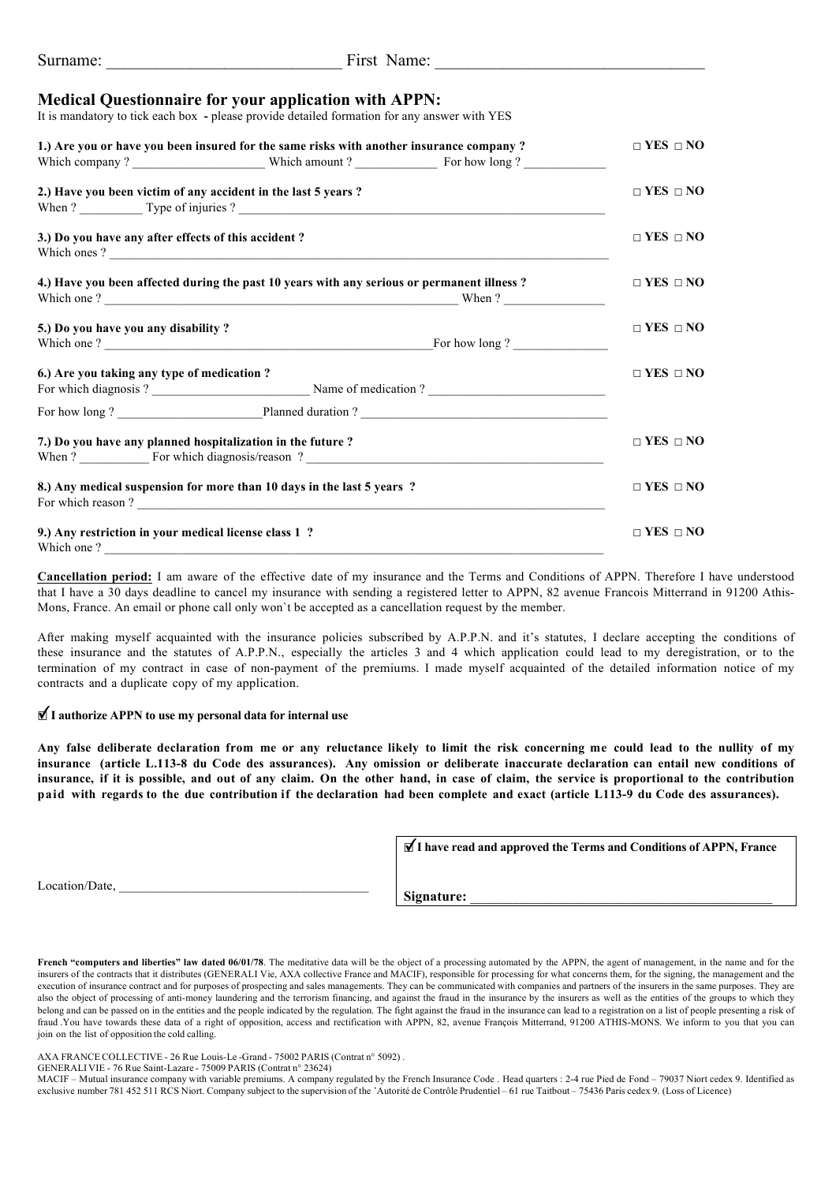| Surname: |
|----------|
|----------|

First Name:

### **Medical Questionnaire for your application with APPN:**

It is mandatory to tick each box **-** please provide detailed formation for any answer with YES

|                                                                        | 1.) Are you or have you been insured for the same risks with another insurance company?                        | $\Box$ YES $\Box$ NO |
|------------------------------------------------------------------------|----------------------------------------------------------------------------------------------------------------|----------------------|
|                                                                        | 2.) Have you been victim of any accident in the last 5 years?<br>When $?$ $\qquad \qquad$ Type of injuries $?$ | $\Box$ YES $\Box$ NO |
| 3.) Do you have any after effects of this accident?                    | Which ones?                                                                                                    | $\Box$ YES $\Box$ NO |
|                                                                        | 4.) Have you been affected during the past 10 years with any serious or permanent illness?                     | $\Box$ YES $\Box$ NO |
| 5.) Do you have you any disability?                                    |                                                                                                                | $\Box$ YES $\Box$ NO |
| 6.) Are you taking any type of medication ?                            | For which diagnosis ? Name of medication ?                                                                     | $\Box$ YES $\Box$ NO |
|                                                                        |                                                                                                                |                      |
| 7.) Do you have any planned hospitalization in the future ?            |                                                                                                                | $\Box$ YES $\Box$ NO |
| 8.) Any medical suspension for more than 10 days in the last 5 years ? |                                                                                                                | $\Box$ YES $\Box$ NO |
| 9.) Any restriction in your medical license class 1 ?<br>Which one?    |                                                                                                                | $\Box$ YES $\Box$ NO |

**Cancellation period:** I am aware of the effective date of my insurance and the Terms and Conditions of APPN. Therefore I have understood that I have a 30 days deadline to cancel my insurance with sending a registered letter to APPN, 82 avenue Francois Mitterrand in 91200 Athis-Mons, France. An email or phone call only won`t be accepted as a cancellation request by the member.

After making myself acquainted with the insurance policies subscribed by A.P.P.N. and it's statutes, I declare accepting the conditions of these insurance and the statutes of A.P.P.N., especially the articles 3 and 4 which application could lead to my deregistration, or to the termination of my contract in case of non-payment of the premiums. I made myself acquainted of the detailed information notice of my contracts and a duplicate copy of my application.

## **₫ I authorize APPN to use my personal data for internal use**

Any false deliberate declaration from me or any reluctance likely to limit the risk concerning me could lead to the nullity of my **insurance (article L.113-8 du Code des assurances). Any omission or deliberate inaccurate declaration can entail new conditions of** insurance, if it is possible, and out of any claim. On the other hand, in case of claim, the service is proportional to the contribution paid with regards to the due contribution if the declaration had been complete and exact (article L113-9 du Code des assurances).

**☐ I have read and approved the Terms and Conditions of APPN, France** ✔

Location/Date,

Signature:

**French "computers and liberties" law dated 06/01/78**. The meditative data will be the object of a processing automated by the APPN, the agent of management, in the name and for the insurers of the contracts that it distributes (GENERALI Vie, AXA collective France and MACIF), responsible for processing for what concerns them, for the signing, the management and the insurers of the contracts that it di execution of insurance contract and for purposes of prospecting and sales managements. They can be communicated with companies and partners of the insurers in the same purposes. They are also the object of processing of anti-money laundering and the terrorism financing, and against the fraud in the insurance by the insurers as well as the entities of the groups to which they belong and can be passed on in the entities and the people indicated by the regulation. The fight against the fraud in the insurance can lead to a registration on a list of people presenting a risk of fraud .You have towards these data of a right of opposition, access and rectification with APPN, 82, avenue François Mitterrand, 91200 ATHIS-MONS. We inform to you that you can join on the list of opposition the cold calling.

AXA FRANCE COLLECTIVE - 26 Rue Louis-Le-Grand - 75002 PARIS (Contrat n° 5092).

GENERALI VIE - 76 Rue Saint-Lazare - 75009 PARIS (Contrat n° 23624)

MACIF – Mutual insurance company with variable premiums. A company regulated by the French Insurance Code . Head quarters : 2-4 rue Pied de Fond – 79037 Niort cedex 9. Identified as exclusive number 781 452 511 RCS Niort. Company subject to the supervision of the 'Autorité de Contrôle Prudentiel – 61 rue Taitbout – 75436 Paris cedex 9. (Loss of Licence)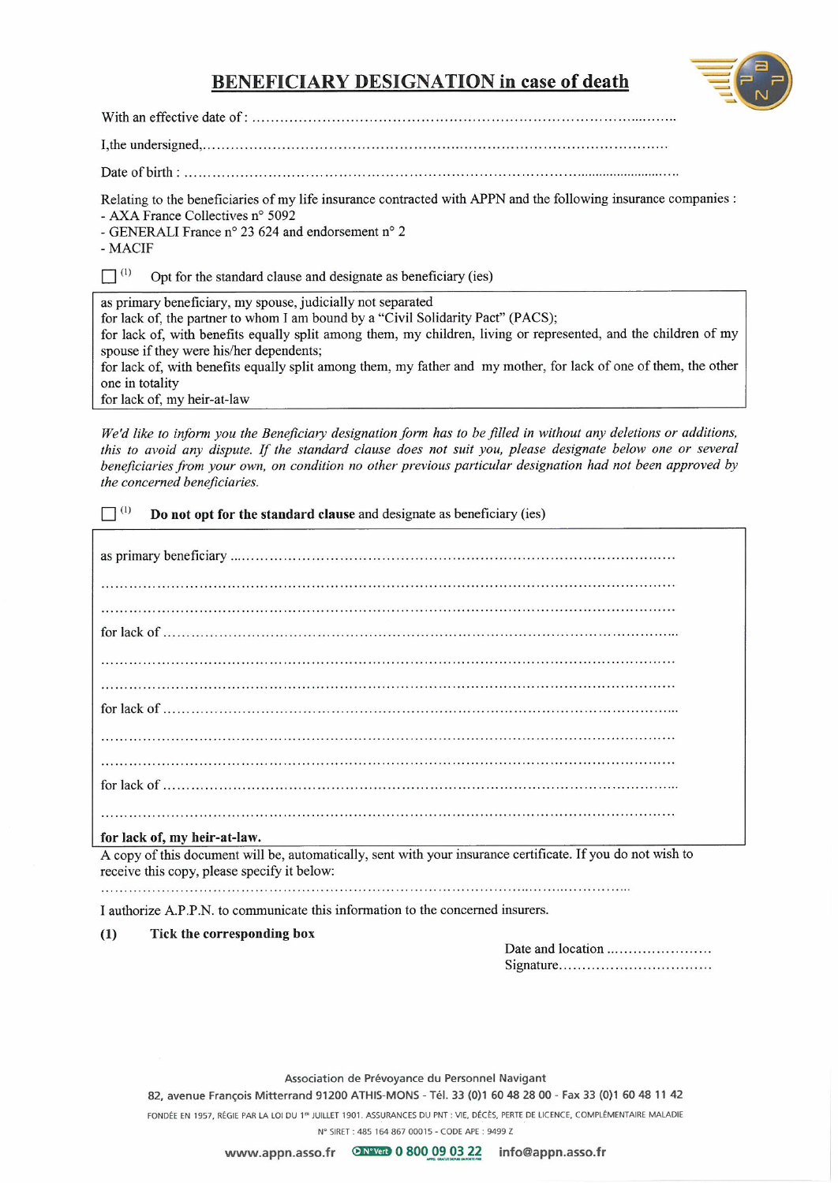# **BENEFICIARY DESIGNATION in case of death**



Relating to the beneficiaries of my life insurance contracted with APPN and the following insurance companies : - AXA France Collectives n° 5092

- GENERALI France n° 23 624 and endorsement n° 2

- MACIF

 $\prod$ <sup>(1)</sup> Opt for the standard clause and designate as beneficiary (ies)

as primary beneficiary, my spouse, judicially not separated

for lack of, the partner to whom I am bound by a "Civil Solidarity Pact" (PACS);

for lack of, with benefits equally split among them, my children, living or represented, and the children of my spouse if they were his/her dependents;

for lack of, with benefits equally split among them, my father and my mother, for lack of one of them, the other one in totality

for lack of, my heir-at-law

We'd like to inform you the Beneficiary designation form has to be filled in without any deletions or additions, this to avoid any dispute. If the standard clause does not suit you, please designate below one or several beneficiaries from your own, on condition no other previous particular designation had not been approved by the concerned beneficiaries.

 $\Box$ <sup>(1)</sup> Do not opt for the standard clause and designate as beneficiary (ies)

### for lack of, my heir-at-law.

A copy of this document will be, automatically, sent with your insurance certificate. If you do not wish to receive this copy, please specify it below:

I authorize A.P.P.N. to communicate this information to the concerned insurers.

#### Tick the corresponding box  $(1)$

Signature...................................

Association de Prévoyance du Personnel Navigant

82, avenue François Mitterrand 91200 ATHIS-MONS - Tél. 33 (0)1 60 48 28 00 - Fax 33 (0)1 60 48 11 42

FONDÉE EN 1957, RÉGIE PAR LA LOI DU 1ª JUILLET 1901. ASSURANCES DU PNT : VIE, DÉCÈS, PERTE DE LICENCE, COMPLÉMENTAIRE MALADIE

N° SIRET: 485 164 867 00015 - CODE APE: 9499 Z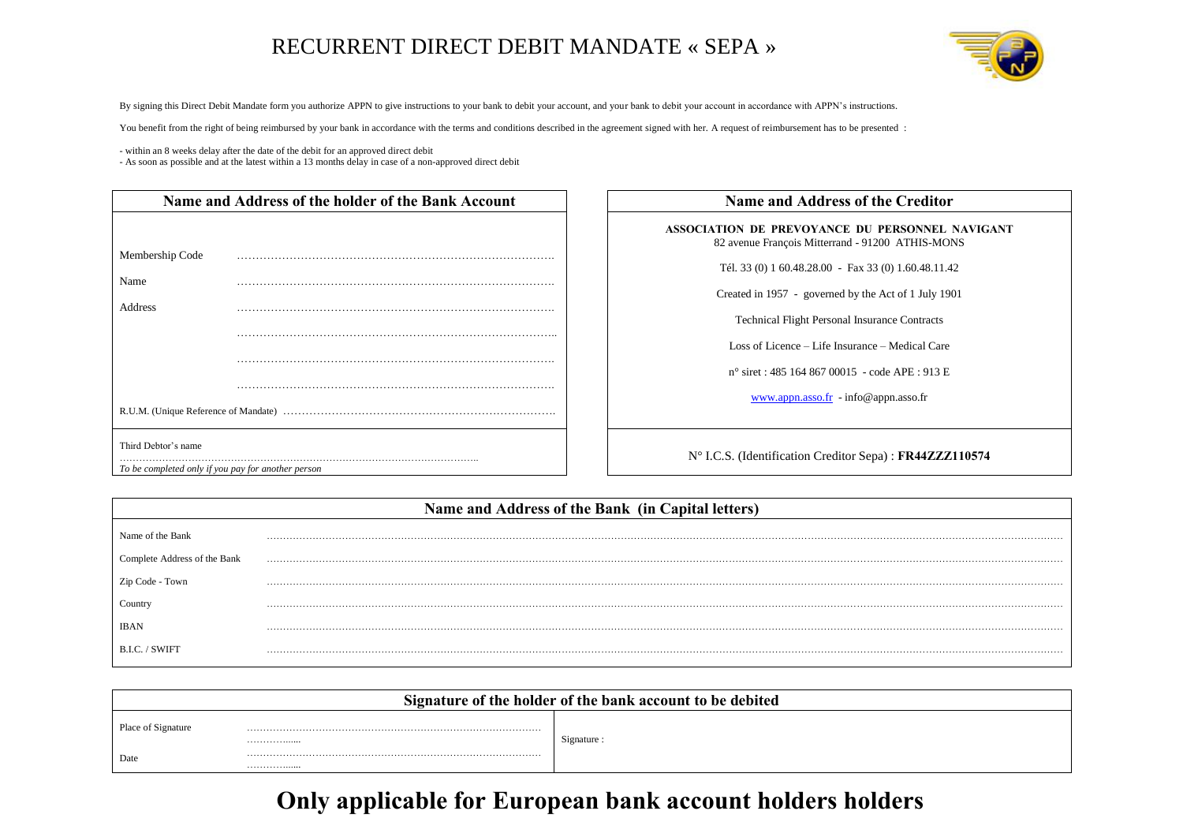# RECURRENT DIRECT DEBIT MANDATE « SEPA »



By signing this Direct Debit Mandate form you authorize APPN to give instructions to your bank to debit your account, and your bank to debit your account in accordance with APPN's instructions.

You benefit from the right of being reimbursed by your bank in accordance with the terms and conditions described in the agreement signed with her. A request of reimbursement has to be presented :

- within an 8 weeks delay after the date of the debit for an approved direct debit

- As soon as possible and at the latest within a 13 months delay in case of a non-approved direct debit

| Name and Address of the holder of the Bank Account |                                                    | <b>Name and Address of the Creditor</b>                                                   |
|----------------------------------------------------|----------------------------------------------------|-------------------------------------------------------------------------------------------|
|                                                    |                                                    | ASSOCIATION DE PREVOYANCE DU PERSONNEL<br>82 avenue François Mitterrand - 91200 ATHIS-MOI |
| Membership Code                                    |                                                    |                                                                                           |
| Name                                               |                                                    | Tél. 33 (0) 1 60.48.28.00 - Fax 33 (0) 1.60.48.11.4                                       |
|                                                    |                                                    | Created in 1957 - governed by the Act of 1 July 190                                       |
| Address                                            |                                                    | <b>Technical Flight Personal Insurance Contracts</b>                                      |
|                                                    |                                                    | Loss of Licence – Life Insurance – Medical Care                                           |
|                                                    |                                                    | $n^{\circ}$ siret : 485 164 867 00015 - code APE : 913 E                                  |
|                                                    |                                                    | $\frac{\text{www.appn.asso.fr}}{\text{info@appn.asso.fr}}$ - info@appn.asso.fr            |
|                                                    |                                                    |                                                                                           |
| Third Debtor's name                                |                                                    | N° I.C.S. (Identification Creditor Sepa) : FR44ZZZ                                        |
|                                                    | To be completed only if you pay for another person |                                                                                           |

| ASSOCIATION DE PREVOYANCE DU PERSONNEL NAVIGANT<br>82 avenue François Mitterrand - 91200 ATHIS-MONS |
|-----------------------------------------------------------------------------------------------------|
| Tél. 33 (0) 1 60.48.28.00 - Fax 33 (0) 1.60.48.11.42                                                |
| Created in 1957 - governed by the Act of 1 July 1901                                                |
| <b>Technical Flight Personal Insurance Contracts</b>                                                |
| Loss of Licence – Life Insurance – Medical Care                                                     |
| n° siret : 485 164 867 00015 - code APE : 913 E                                                     |
| $\frac{\text{www.appn.asso.fr}}{\text{info@appn.asso.fr}}$ - info@appn.asso.fr                      |
|                                                                                                     |

| Name and Address of the Bank (in Capital letters) |  |  |
|---------------------------------------------------|--|--|
| Name of the Bank                                  |  |  |
| Complete Address of the Bank                      |  |  |
| Zip Code - Town                                   |  |  |
| Country                                           |  |  |
|                                                   |  |  |
| B.I.C. / SWIF1                                    |  |  |

| Signature of the holder of the bank account to be debited |   |             |
|-----------------------------------------------------------|---|-------------|
| Place of Signature                                        |   |             |
|                                                           | . | Signature : |
| Date                                                      |   |             |
|                                                           | . |             |

# **Only applicable for European bank account holders holders**